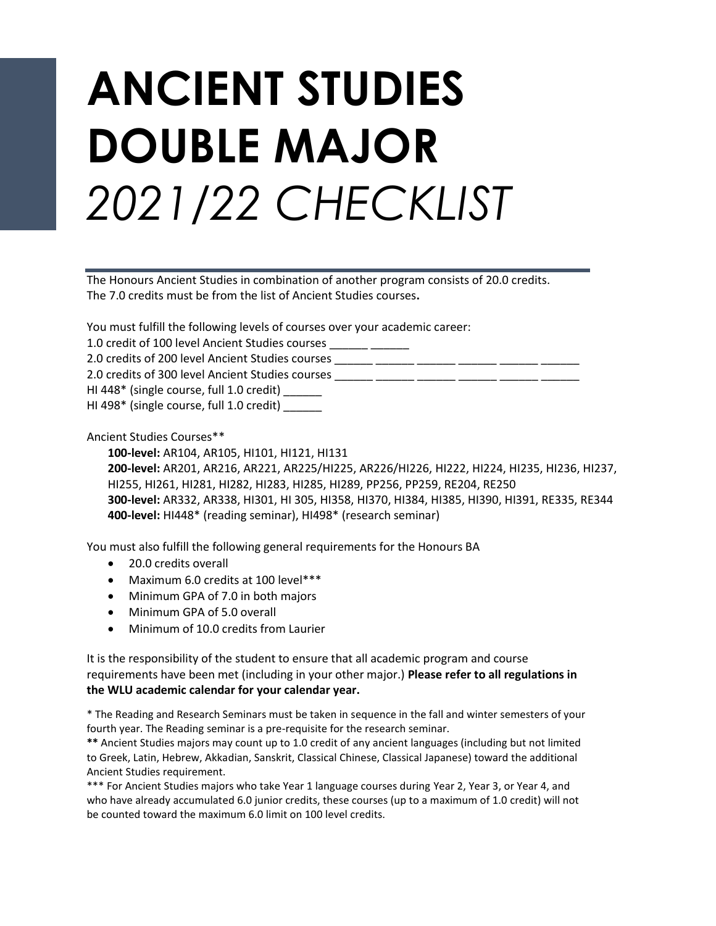## **ANCIENT STUDIES DOUBLE MAJOR** *2021/22 CHECKLIST*

The Honours Ancient Studies in combination of another program consists of 20.0 credits. The 7.0 credits must be from the list of Ancient Studies courses**.**

You must fulfill the following levels of courses over your academic career:

1.0 credit of 100 level Ancient Studies courses \_\_\_\_\_\_ \_\_\_\_\_\_

2.0 credits of 200 level Ancient Studies courses \_\_\_\_\_\_ \_\_\_\_\_\_ \_\_\_\_\_\_ \_\_\_\_\_\_ \_\_\_\_

2.0 credits of 300 level Ancient Studies courses

HI 448\* (single course, full 1.0 credit) \_\_\_\_\_\_

HI 498\* (single course, full 1.0 credit)

Ancient Studies Courses\*\*

**100-level:** AR104, AR105, HI101, HI121, HI131 **200-level:** AR201, AR216, AR221, AR225/HI225, AR226/HI226, HI222, HI224, HI235, HI236, HI237, HI255, HI261, HI281, HI282, HI283, HI285, HI289, PP256, PP259, RE204, RE250 **300-level:** AR332, AR338, HI301, HI 305, HI358, HI370, HI384, HI385, HI390, HI391, RE335, RE344 **400-level:** HI448\* (reading seminar), HI498\* (research seminar)

You must also fulfill the following general requirements for the Honours BA

- 20.0 credits overall
- Maximum 6.0 credits at 100 level\*\*\*
- Minimum GPA of 7.0 in both majors
- Minimum GPA of 5.0 overall
- Minimum of 10.0 credits from Laurier

It is the responsibility of the student to ensure that all academic program and course requirements have been met (including in your other major.) **Please refer to all regulations in the WLU academic calendar for your calendar year.**

\* The Reading and Research Seminars must be taken in sequence in the fall and winter semesters of your fourth year. The Reading seminar is a pre-requisite for the research seminar.

**\*\*** Ancient Studies majors may count up to 1.0 credit of any ancient languages (including but not limited to Greek, Latin, Hebrew, Akkadian, Sanskrit, Classical Chinese, Classical Japanese) toward the additional Ancient Studies requirement.

\*\*\* For Ancient Studies majors who take Year 1 language courses during Year 2, Year 3, or Year 4, and who have already accumulated 6.0 junior credits, these courses (up to a maximum of 1.0 credit) will not be counted toward the maximum 6.0 limit on 100 level credits.